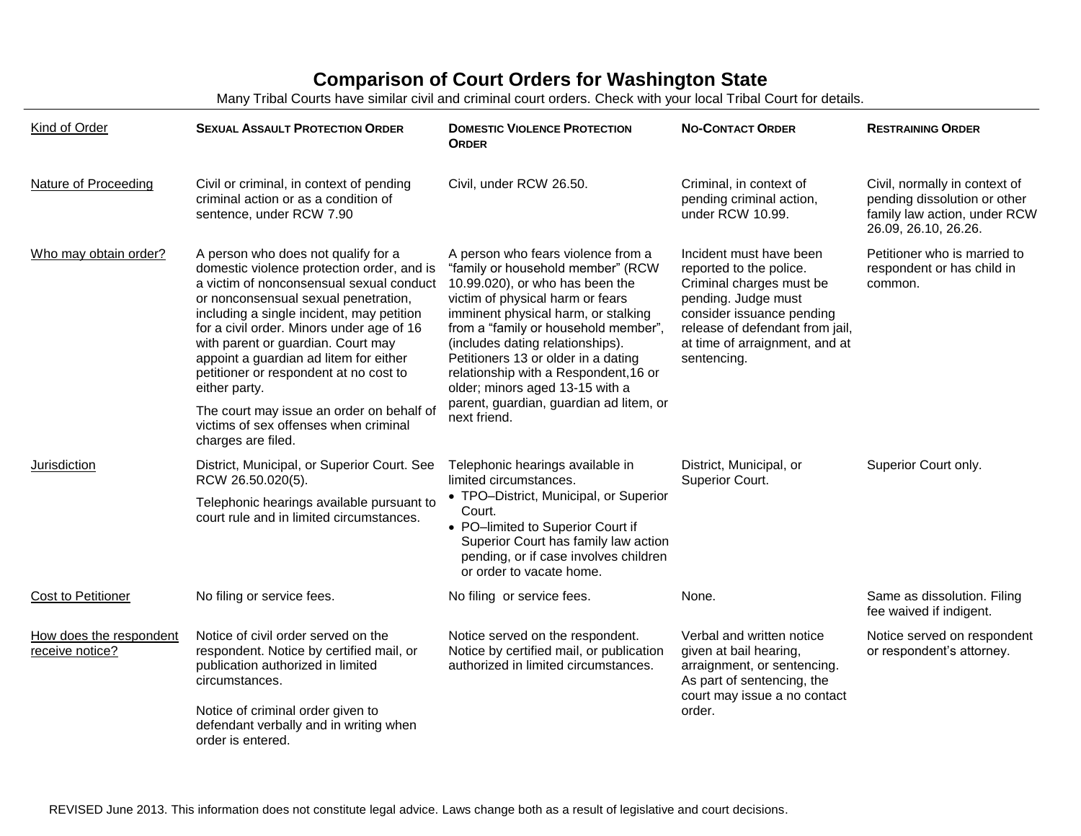## **Comparison of Court Orders for Washington State**

Many Tribal Courts have similar civil and criminal court orders. Check with your local Tribal Court for details.

| Kind of Order                              | <b>SEXUAL ASSAULT PROTECTION ORDER</b>                                                                                                                                                                                                                                                                                                                                                                     | <b>DOMESTIC VIOLENCE PROTECTION</b><br><b>ORDER</b>                                                                                                                                                                                                                                                                                                                                                                                             | <b>NO-CONTACT ORDER</b>                                                                                                                                                                                                | <b>RESTRAINING ORDER</b>                                                                                              |
|--------------------------------------------|------------------------------------------------------------------------------------------------------------------------------------------------------------------------------------------------------------------------------------------------------------------------------------------------------------------------------------------------------------------------------------------------------------|-------------------------------------------------------------------------------------------------------------------------------------------------------------------------------------------------------------------------------------------------------------------------------------------------------------------------------------------------------------------------------------------------------------------------------------------------|------------------------------------------------------------------------------------------------------------------------------------------------------------------------------------------------------------------------|-----------------------------------------------------------------------------------------------------------------------|
| <b>Nature of Proceeding</b>                | Civil or criminal, in context of pending<br>criminal action or as a condition of<br>sentence, under RCW 7.90                                                                                                                                                                                                                                                                                               | Civil, under RCW 26.50.                                                                                                                                                                                                                                                                                                                                                                                                                         | Criminal, in context of<br>pending criminal action,<br>under RCW 10.99.                                                                                                                                                | Civil, normally in context of<br>pending dissolution or other<br>family law action, under RCW<br>26.09, 26.10, 26.26. |
| Who may obtain order?                      | A person who does not qualify for a<br>domestic violence protection order, and is<br>a victim of nonconsensual sexual conduct<br>or nonconsensual sexual penetration,<br>including a single incident, may petition<br>for a civil order. Minors under age of 16<br>with parent or guardian. Court may<br>appoint a guardian ad litem for either<br>petitioner or respondent at no cost to<br>either party. | A person who fears violence from a<br>"family or household member" (RCW<br>10.99.020), or who has been the<br>victim of physical harm or fears<br>imminent physical harm, or stalking<br>from a "family or household member",<br>(includes dating relationships).<br>Petitioners 13 or older in a dating<br>relationship with a Respondent, 16 or<br>older; minors aged 13-15 with a<br>parent, guardian, guardian ad litem, or<br>next friend. | Incident must have been<br>reported to the police.<br>Criminal charges must be<br>pending. Judge must<br>consider issuance pending<br>release of defendant from jail,<br>at time of arraignment, and at<br>sentencing. | Petitioner who is married to<br>respondent or has child in<br>common.                                                 |
|                                            | The court may issue an order on behalf of<br>victims of sex offenses when criminal<br>charges are filed.                                                                                                                                                                                                                                                                                                   |                                                                                                                                                                                                                                                                                                                                                                                                                                                 |                                                                                                                                                                                                                        |                                                                                                                       |
| Jurisdiction                               | District, Municipal, or Superior Court. See<br>RCW 26.50.020(5).                                                                                                                                                                                                                                                                                                                                           | Telephonic hearings available in<br>limited circumstances.<br>• TPO-District, Municipal, or Superior<br>Court.<br>• PO-limited to Superior Court if<br>Superior Court has family law action<br>pending, or if case involves children<br>or order to vacate home.                                                                                                                                                                                | District, Municipal, or<br>Superior Court.                                                                                                                                                                             | Superior Court only.                                                                                                  |
|                                            | Telephonic hearings available pursuant to<br>court rule and in limited circumstances.                                                                                                                                                                                                                                                                                                                      |                                                                                                                                                                                                                                                                                                                                                                                                                                                 |                                                                                                                                                                                                                        |                                                                                                                       |
| <b>Cost to Petitioner</b>                  | No filing or service fees.                                                                                                                                                                                                                                                                                                                                                                                 | No filing or service fees.                                                                                                                                                                                                                                                                                                                                                                                                                      | None.                                                                                                                                                                                                                  | Same as dissolution. Filing<br>fee waived if indigent.                                                                |
| How does the respondent<br>receive notice? | Notice of civil order served on the<br>respondent. Notice by certified mail, or<br>publication authorized in limited<br>circumstances.                                                                                                                                                                                                                                                                     | Notice served on the respondent.<br>Notice by certified mail, or publication<br>authorized in limited circumstances.                                                                                                                                                                                                                                                                                                                            | Verbal and written notice<br>given at bail hearing,<br>arraignment, or sentencing.<br>As part of sentencing, the<br>court may issue a no contact                                                                       | Notice served on respondent<br>or respondent's attorney.                                                              |
|                                            | Notice of criminal order given to<br>defendant verbally and in writing when<br>order is entered.                                                                                                                                                                                                                                                                                                           |                                                                                                                                                                                                                                                                                                                                                                                                                                                 | order.                                                                                                                                                                                                                 |                                                                                                                       |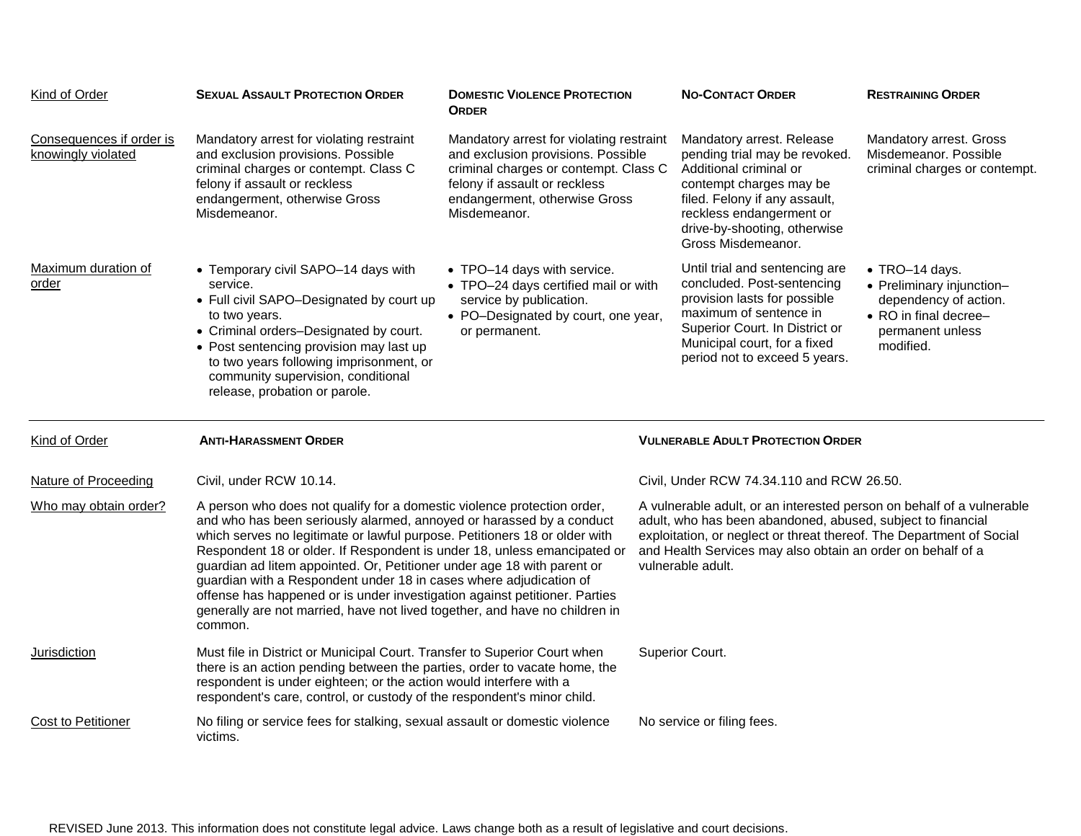| Kind of Order                                  | <b>SEXUAL ASSAULT PROTECTION ORDER</b>                                                                                                                                                                                                                                                                                                                                                                                                                                                                                                                                                                                             | <b>DOMESTIC VIOLENCE PROTECTION</b><br><b>ORDER</b>                                                                                                                                                       | <b>NO-CONTACT ORDER</b>                                                                                                                                                                                                                                                                          | <b>RESTRAINING ORDER</b>                                                                                                       |
|------------------------------------------------|------------------------------------------------------------------------------------------------------------------------------------------------------------------------------------------------------------------------------------------------------------------------------------------------------------------------------------------------------------------------------------------------------------------------------------------------------------------------------------------------------------------------------------------------------------------------------------------------------------------------------------|-----------------------------------------------------------------------------------------------------------------------------------------------------------------------------------------------------------|--------------------------------------------------------------------------------------------------------------------------------------------------------------------------------------------------------------------------------------------------------------------------------------------------|--------------------------------------------------------------------------------------------------------------------------------|
| Consequences if order is<br>knowingly violated | Mandatory arrest for violating restraint<br>and exclusion provisions. Possible<br>criminal charges or contempt. Class C<br>felony if assault or reckless<br>endangerment, otherwise Gross<br>Misdemeanor.                                                                                                                                                                                                                                                                                                                                                                                                                          | Mandatory arrest for violating restraint<br>and exclusion provisions. Possible<br>criminal charges or contempt. Class C<br>felony if assault or reckless<br>endangerment, otherwise Gross<br>Misdemeanor. | Mandatory arrest. Release<br>pending trial may be revoked.<br>Additional criminal or<br>contempt charges may be<br>filed. Felony if any assault,<br>reckless endangerment or<br>drive-by-shooting, otherwise<br>Gross Misdemeanor.                                                               | Mandatory arrest. Gross<br>Misdemeanor, Possible<br>criminal charges or contempt.                                              |
| Maximum duration of<br>order                   | • Temporary civil SAPO-14 days with<br>service.<br>• Full civil SAPO-Designated by court up<br>to two years.<br>• Criminal orders-Designated by court.<br>• Post sentencing provision may last up<br>to two years following imprisonment, or<br>community supervision, conditional<br>release, probation or parole.                                                                                                                                                                                                                                                                                                                | • TPO-14 days with service.<br>• TPO-24 days certified mail or with<br>service by publication.<br>• PO-Designated by court, one year,<br>or permanent.                                                    | Until trial and sentencing are<br>concluded. Post-sentencing<br>provision lasts for possible<br>maximum of sentence in<br>Superior Court. In District or<br>Municipal court, for a fixed<br>period not to exceed 5 years.                                                                        | • TRO-14 days.<br>• Preliminary injunction-<br>dependency of action.<br>• RO in final decree-<br>permanent unless<br>modified. |
|                                                |                                                                                                                                                                                                                                                                                                                                                                                                                                                                                                                                                                                                                                    |                                                                                                                                                                                                           |                                                                                                                                                                                                                                                                                                  |                                                                                                                                |
| Kind of Order                                  | <b>ANTI-HARASSMENT ORDER</b>                                                                                                                                                                                                                                                                                                                                                                                                                                                                                                                                                                                                       |                                                                                                                                                                                                           | <b>VULNERABLE ADULT PROTECTION ORDER</b>                                                                                                                                                                                                                                                         |                                                                                                                                |
| Nature of Proceeding                           | Civil, under RCW 10.14.                                                                                                                                                                                                                                                                                                                                                                                                                                                                                                                                                                                                            |                                                                                                                                                                                                           | Civil, Under RCW 74.34.110 and RCW 26.50.                                                                                                                                                                                                                                                        |                                                                                                                                |
| Who may obtain order?                          | A person who does not qualify for a domestic violence protection order,<br>and who has been seriously alarmed, annoyed or harassed by a conduct<br>which serves no legitimate or lawful purpose. Petitioners 18 or older with<br>Respondent 18 or older. If Respondent is under 18, unless emancipated or<br>guardian ad litem appointed. Or, Petitioner under age 18 with parent or<br>guardian with a Respondent under 18 in cases where adjudication of<br>offense has happened or is under investigation against petitioner. Parties<br>generally are not married, have not lived together, and have no children in<br>common. |                                                                                                                                                                                                           | A vulnerable adult, or an interested person on behalf of a vulnerable<br>adult, who has been abandoned, abused, subject to financial<br>exploitation, or neglect or threat thereof. The Department of Social<br>and Health Services may also obtain an order on behalf of a<br>vulnerable adult. |                                                                                                                                |
| Jurisdiction                                   | Must file in District or Municipal Court. Transfer to Superior Court when<br>there is an action pending between the parties, order to vacate home, the<br>respondent is under eighteen; or the action would interfere with a<br>respondent's care, control, or custody of the respondent's minor child.                                                                                                                                                                                                                                                                                                                            |                                                                                                                                                                                                           | Superior Court.                                                                                                                                                                                                                                                                                  |                                                                                                                                |

REVISED June 2013. This information does not constitute legal advice. Laws change both as a result of legislative and court decisions.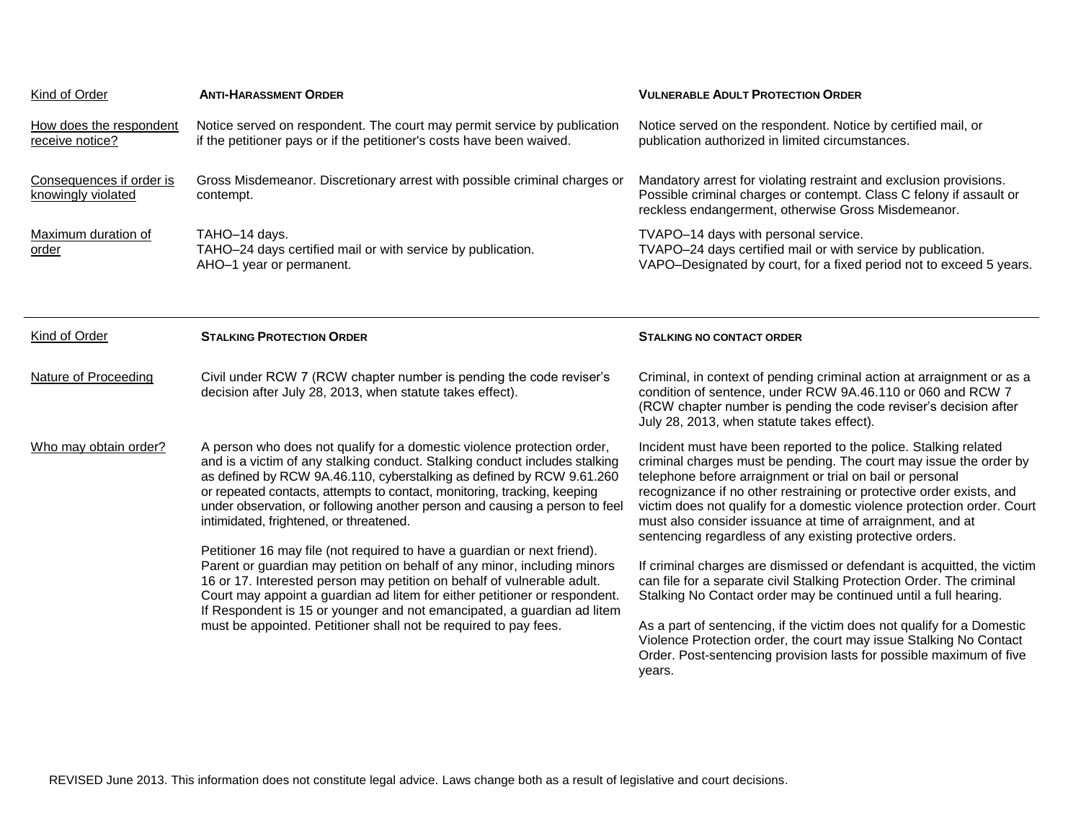| Kind of Order                                  | <b>ANTI-HARASSMENT ORDER</b>                                                                                                                                                                                                                                                                                                                                                                                                                                                                                      | <b>VULNERABLE ADULT PROTECTION ORDER</b>                                                                                                                                                                                                                                                                                                                                                                                                                                         |  |
|------------------------------------------------|-------------------------------------------------------------------------------------------------------------------------------------------------------------------------------------------------------------------------------------------------------------------------------------------------------------------------------------------------------------------------------------------------------------------------------------------------------------------------------------------------------------------|----------------------------------------------------------------------------------------------------------------------------------------------------------------------------------------------------------------------------------------------------------------------------------------------------------------------------------------------------------------------------------------------------------------------------------------------------------------------------------|--|
| How does the respondent<br>receive notice?     | Notice served on respondent. The court may permit service by publication<br>if the petitioner pays or if the petitioner's costs have been waived.                                                                                                                                                                                                                                                                                                                                                                 | Notice served on the respondent. Notice by certified mail, or<br>publication authorized in limited circumstances.                                                                                                                                                                                                                                                                                                                                                                |  |
| Consequences if order is<br>knowingly violated | Gross Misdemeanor. Discretionary arrest with possible criminal charges or<br>contempt.                                                                                                                                                                                                                                                                                                                                                                                                                            | Mandatory arrest for violating restraint and exclusion provisions.<br>Possible criminal charges or contempt. Class C felony if assault or<br>reckless endangerment, otherwise Gross Misdemeanor.                                                                                                                                                                                                                                                                                 |  |
| Maximum duration of<br>order                   | TAHO-14 days.<br>TAHO-24 days certified mail or with service by publication.<br>AHO-1 year or permanent.                                                                                                                                                                                                                                                                                                                                                                                                          | TVAPO-14 days with personal service.<br>TVAPO-24 days certified mail or with service by publication.<br>VAPO-Designated by court, for a fixed period not to exceed 5 years.                                                                                                                                                                                                                                                                                                      |  |
|                                                |                                                                                                                                                                                                                                                                                                                                                                                                                                                                                                                   |                                                                                                                                                                                                                                                                                                                                                                                                                                                                                  |  |
| Kind of Order                                  | <b>STALKING PROTECTION ORDER</b>                                                                                                                                                                                                                                                                                                                                                                                                                                                                                  | <b>STALKING NO CONTACT ORDER</b>                                                                                                                                                                                                                                                                                                                                                                                                                                                 |  |
| <b>Nature of Proceeding</b>                    | Civil under RCW 7 (RCW chapter number is pending the code reviser's<br>decision after July 28, 2013, when statute takes effect).                                                                                                                                                                                                                                                                                                                                                                                  | Criminal, in context of pending criminal action at arraignment or as a<br>condition of sentence, under RCW 9A.46.110 or 060 and RCW 7<br>(RCW chapter number is pending the code reviser's decision after<br>July 28, 2013, when statute takes effect).                                                                                                                                                                                                                          |  |
| Who may obtain order?                          | A person who does not qualify for a domestic violence protection order,<br>and is a victim of any stalking conduct. Stalking conduct includes stalking<br>as defined by RCW 9A.46.110, cyberstalking as defined by RCW 9.61.260<br>or repeated contacts, attempts to contact, monitoring, tracking, keeping<br>under observation, or following another person and causing a person to feel<br>intimidated, frightened, or threatened.<br>Petitioner 16 may file (not required to have a guardian or next friend). | Incident must have been reported to the police. Stalking related<br>criminal charges must be pending. The court may issue the order by<br>telephone before arraignment or trial on bail or personal<br>recognizance if no other restraining or protective order exists, and<br>victim does not qualify for a domestic violence protection order. Court<br>must also consider issuance at time of arraignment, and at<br>sentencing regardless of any existing protective orders. |  |
|                                                | Parent or guardian may petition on behalf of any minor, including minors<br>16 or 17. Interested person may petition on behalf of vulnerable adult.<br>Court may appoint a guardian ad litem for either petitioner or respondent.<br>If Respondent is 15 or younger and not emancipated, a guardian ad litem<br>must be appointed. Petitioner shall not be required to pay fees.                                                                                                                                  | If criminal charges are dismissed or defendant is acquitted, the victim<br>can file for a separate civil Stalking Protection Order. The criminal<br>Stalking No Contact order may be continued until a full hearing.<br>As a part of sentencing, if the victim does not qualify for a Domestic<br>Violence Protection order, the court may issue Stalking No Contact<br>Order. Post-sentencing provision lasts for possible maximum of five<br>years.                            |  |